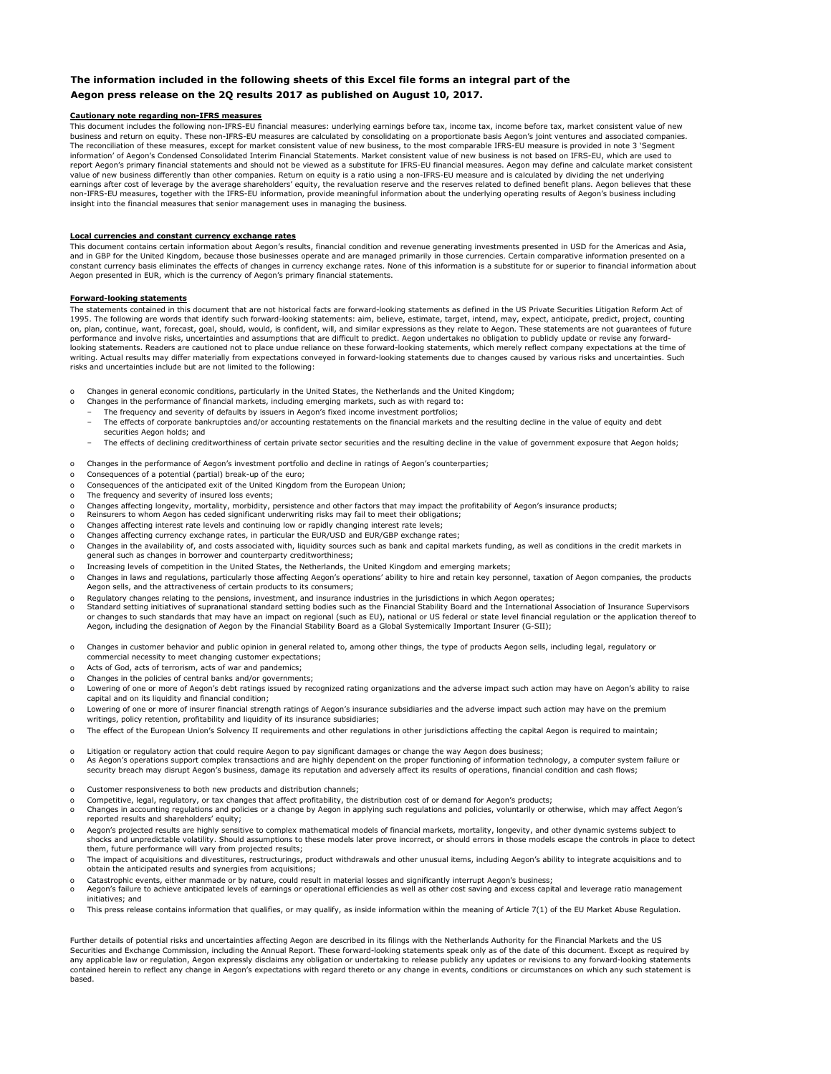# **The information included in the following sheets of this Excel file forms an integral part of the Aegon press release on the 2Q results 2017 as published on August 10, 2017.**

- o Changes in general economic conditions, particularly in the United States, the Netherlands and the United Kingdom;
- o Changes in the performance of financial markets, including emerging markets, such as with regard to:
	- The frequency and severity of defaults by issuers in Aegon's fixed income investment portfolios;
	- The effects of corporate bankruptcies and/or accounting restatements on the financial markets and the resulting decline in the value of equity and debt securities Aegon holds; and
	- The effects of declining creditworthiness of certain private sector securities and the resulting decline in the value of government exposure that Aegon holds;
- o Changes in the performance of Aegon's investment portfolio and decline in ratings of Aegon's counterparties;
- o Consequences of a potential (partial) break-up of the euro;
- o Consequences of the anticipated exit of the United Kingdom from the European Union;
- o The frequency and severity of insured loss events;
- o Changes affecting longevity, mortality, morbidity, persistence and other factors that may impact the profitability of Aegon's insurance products;
- o Reinsurers to whom Aegon has ceded significant underwriting risks may fail to meet their obligations;
- o Changes affecting interest rate levels and continuing low or rapidly changing interest rate levels;
- o Changes affecting currency exchange rates, in particular the EUR/USD and EUR/GBP exchange rates;
- o Changes in the availability of, and costs associated with, liquidity sources such as bank and capital markets funding, as well as conditions in the credit markets in general such as changes in borrower and counterparty creditworthiness;
- o Increasing levels of competition in the United States, the Netherlands, the United Kingdom and emerging markets;
- o Changes in laws and regulations, particularly those affecting Aegon's operations' ability to hire and retain key personnel, taxation of Aegon companies, the products Aegon sells, and the attractiveness of certain products to its consumers;
- o Regulatory changes relating to the pensions, investment, and insurance industries in the jurisdictions in which Aegon operates;
- o Standard setting initiatives of supranational standard setting bodies such as the Financial Stability Board and the International Association of Insurance Supervisors or changes to such standards that may have an impact on regional (such as EU), national or US federal or state level financial regulation or the application thereof to Aegon, including the designation of Aegon by the Financial Stability Board as a Global Systemically Important Insurer (G-SII);
- o Changes in customer behavior and public opinion in general related to, among other things, the type of products Aegon sells, including legal, regulatory or commercial necessity to meet changing customer expectations;
- o Acts of God, acts of terrorism, acts of war and pandemics;
- o Changes in the policies of central banks and/or governments;
- o Lowering of one or more of Aegon's debt ratings issued by recognized rating organizations and the adverse impact such action may have on Aegon's ability to raise capital and on its liquidity and financial condition;
- o Lowering of one or more of insurer financial strength ratings of Aegon's insurance subsidiaries and the adverse impact such action may have on the premium writings, policy retention, profitability and liquidity of its insurance subsidiaries;
- o The effect of the European Union's Solvency II requirements and other regulations in other jurisdictions affecting the capital Aegon is required to maintain;
- 
- o Litigation or regulatory action that could require Aegon to pay significant damages or change the way Aegon does business;
- o As Aegon's operations support complex transactions and are highly dependent on the proper functioning of information technology, a computer system failure or security breach may disrupt Aegon's business, damage its reputation and adversely affect its results of operations, financial condition and cash flows;
- o Customer responsiveness to both new products and distribution channels;
- o Competitive, legal, regulatory, or tax changes that affect profitability, the distribution cost of or demand for Aegon's products;
- o Changes in accounting regulations and policies or a change by Aegon in applying such regulations and policies, voluntarily or otherwise, which may affect Aegon's reported results and shareholders' equity:
- o Aegon's projected results are highly sensitive to complex mathematical models of financial markets, mortality, longevity, and other dynamic systems subject to shocks and unpredictable volatility. Should assumptions to these models later prove incorrect, or should errors in those models escape the controls in place to detect them, future performance will vary from projected results;
- o The impact of acquisitions and divestitures, restructurings, product withdrawals and other unusual items, including Aegon's ability to integrate acquisitions and to obtain the anticipated results and synergies from acquisitions;
- o Catastrophic events, either manmade or by nature, could result in material losses and significantly interrupt Aegon's business;
- o Aegon's failure to achieve anticipated levels of earnings or operational efficiencies as well as other cost saving and excess capital and leverage ratio management initiatives; and
- o This press release contains information that qualifies, or may qualify, as inside information within the meaning of Article 7(1) of the EU Market Abuse Regulation.

## **Cautionary note regarding non-IFRS measures**

#### **Local currencies and constant currency exchange rates**

#### **Forward-looking statements**

Further details of potential risks and uncertainties affecting Aegon are described in its filings with the Netherlands Authority for the Financial Markets and the US Securities and Exchange Commission, including the Annual Report. These forward-looking statements speak only as of the date of this document. Except as required by any applicable law or regulation, Aegon expressly disclaims any obligation or undertaking to release publicly any updates or revisions to any forward-looking statements contained herein to reflect any change in Aegon's expectations with regard thereto or any change in events, conditions or circumstances on which any such statement is based.

The statements contained in this document that are not historical facts are forward-looking statements as defined in the US Private Securities Litigation Reform Act of 1995. The following are words that identify such forward-looking statements: aim, believe, estimate, target, intend, may, expect, anticipate, predict, project, counting on, plan, continue, want, forecast, goal, should, would, is confident, will, and similar expressions as they relate to Aegon. These statements are not guarantees of future performance and involve risks, uncertainties and assumptions that are difficult to predict. Aegon undertakes no obligation to publicly update or revise any forwardlooking statements. Readers are cautioned not to place undue reliance on these forward-looking statements, which merely reflect company expectations at the time of writing. Actual results may differ materially from expectations conveyed in forward-looking statements due to changes caused by various risks and uncertainties. Such risks and uncertainties include but are not limited to the following:

This document includes the following non-IFRS-EU financial measures: underlying earnings before tax, income tax, income before tax, market consistent value of new business and return on equity. These non-IFRS-EU measures are calculated by consolidating on a proportionate basis Aegon's joint ventures and associated companies. The reconciliation of these measures, except for market consistent value of new business, to the most comparable IFRS-EU measure is provided in note 3 'Segment information' of Aegon's Condensed Consolidated Interim Financial Statements. Market consistent value of new business is not based on IFRS-EU, which are used to report Aegon's primary financial statements and should not be viewed as a substitute for IFRS-EU financial measures. Aegon may define and calculate market consistent value of new business differently than other companies. Return on equity is a ratio using a non-IFRS-EU measure and is calculated by dividing the net underlying earnings after cost of leverage by the average shareholders' equity, the revaluation reserve and the reserves related to defined benefit plans. Aegon believes that these non-IFRS-EU measures, together with the IFRS-EU information, provide meaningful information about the underlying operating results of Aegon's business including insight into the financial measures that senior management uses in managing the business.

This document contains certain information about Aegon's results, financial condition and revenue generating investments presented in USD for the Americas and Asia, and in GBP for the United Kingdom, because those businesses operate and are managed primarily in those currencies. Certain comparative information presented on a constant currency basis eliminates the effects of changes in currency exchange rates. None of this information is a substitute for or superior to financial information about Aegon presented in EUR, which is the currency of Aegon's primary financial statements.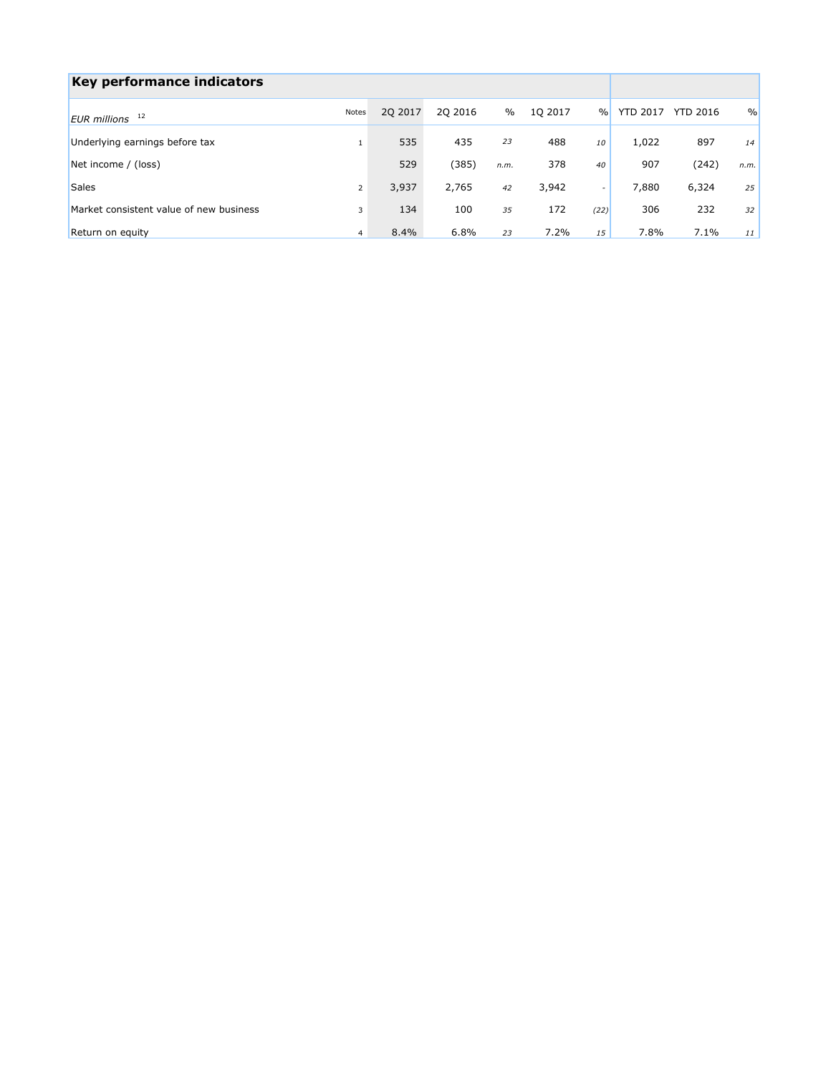| Key performance indicators              |                |          |          |      |         |               |                 |                 |      |
|-----------------------------------------|----------------|----------|----------|------|---------|---------------|-----------------|-----------------|------|
| EUR millions 12                         | <b>Notes</b>   | 20 20 17 | 20 20 16 | $\%$ | 1Q 2017 | $\frac{0}{0}$ | <b>YTD 2017</b> | <b>YTD 2016</b> | $\%$ |
| Underlying earnings before tax          |                | 535      | 435      | 23   | 488     | 10            | 1,022           | 897             | 14   |
| Net income / (loss)                     |                | 529      | (385)    | n.m. | 378     | 40            | 907             | (242)           | n.m. |
| Sales                                   | 2              | 3,937    | 2,765    | 42   | 3,942   | $\sim$        | 7,880           | 6,324           | 25   |
| Market consistent value of new business | 3              | 134      | 100      | 35   | 172     | (22)          | 306             | 232             | 32   |
| Return on equity                        | $\overline{4}$ | 8.4%     | 6.8%     | 23   | 7.2%    | 15            | 7.8%            | 7.1%            | 11   |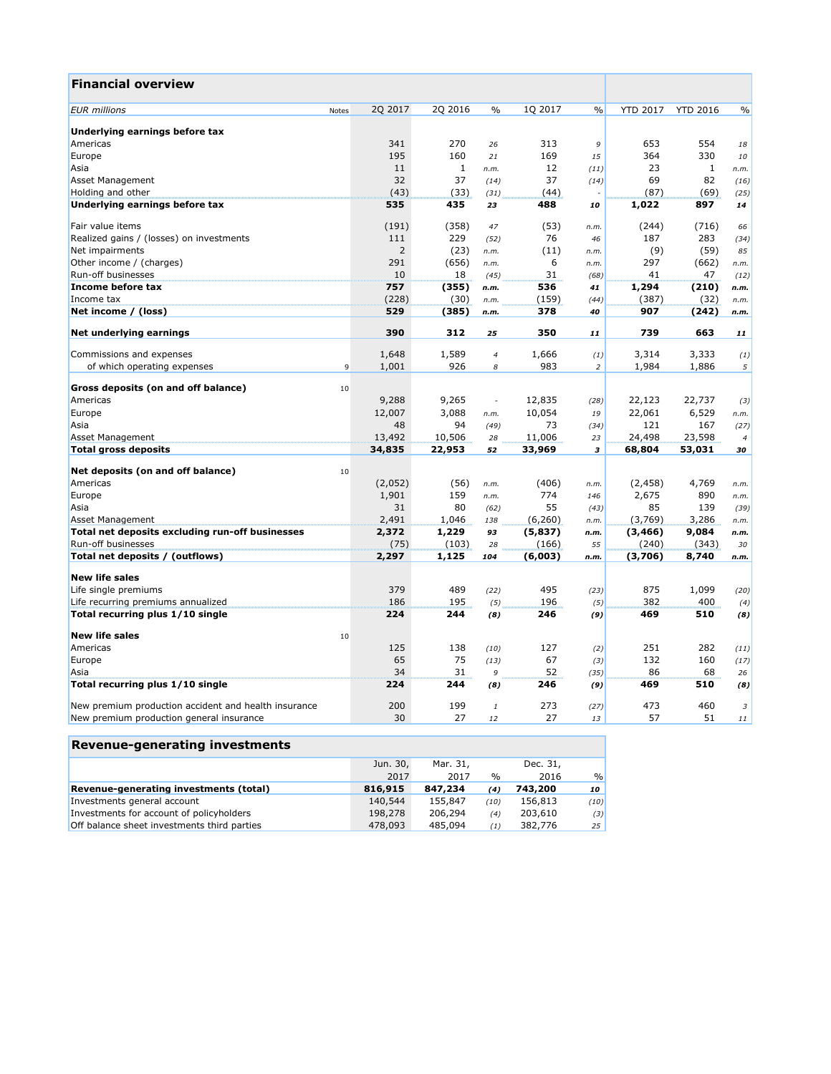| <b>Financial overview</b>                            |       |                |         |                          |          |               |                 |                 |                |
|------------------------------------------------------|-------|----------------|---------|--------------------------|----------|---------------|-----------------|-----------------|----------------|
| <b>EUR</b> millions                                  | Notes | 2Q 2017        | 2Q 2016 | $\frac{0}{0}$            | 1Q 2017  | $\frac{0}{0}$ | <b>YTD 2017</b> | <b>YTD 2016</b> | $\frac{0}{0}$  |
| Underlying earnings before tax                       |       |                |         |                          |          |               |                 |                 |                |
| Americas                                             |       | 341            | 270     | 26                       | 313      | 9             | 653             | 554             | 18             |
| Europe                                               |       | 195            | 160     | 21                       | 169      | 15            | 364             | 330             | 10             |
| Asia                                                 |       | 11             | 1       | n.m.                     | 12       | (11)          | 23              | 1               | n.m.           |
| <b>Asset Management</b>                              |       | 32             | 37      | (14)                     | 37       | (14)          | 69              | 82              | (16)           |
| Holding and other                                    |       | (43)           | (33)    | (31)                     | (44)     |               | (87)            | (69)            | (25)           |
| Underlying earnings before tax                       |       | 535            | 435     | 23                       | 488      | 10            | 1,022           | 897             | 14             |
| Fair value items                                     |       | (191)          | (358)   | 47                       | (53)     | n.m.          | (244)           | (716)           | 66             |
| Realized gains / (losses) on investments             |       | 111            | 229     | (52)                     | 76       | 46            | 187             | 283             | (34)           |
| Net impairments                                      |       | $\overline{2}$ | (23)    | n.m.                     | (11)     | n.m.          | (9)             | (59)            | 85             |
| Other income / (charges)                             |       | 291            | (656)   | n.m.                     | 6        | n.m.          | 297             | (662)           | n.m.           |
| Run-off businesses                                   |       | 10             | 18      | (45)                     | 31       | (68)          | 41              | 47              | (12)           |
| Income before tax                                    |       | 757            | (355)   | n.m.                     | 536      | 41            | 1,294           | (210)           | n.m.           |
| Income tax                                           |       | (228)          | (30)    | n.m.                     | (159)    | (44)          | (387)           | (32)            | n.m.           |
| Net income / (loss)                                  |       | 529            | (385)   | n.m.                     | 378      | 40            | 907             | (242)           | n.m.           |
| Net underlying earnings                              |       | 390            | 312     | 25                       | 350      | 11            | 739             | 663             | 11             |
| Commissions and expenses                             |       | 1,648          | 1,589   | $\overline{4}$           | 1,666    | (1)           | 3,314           | 3,333           | (1)            |
| of which operating expenses                          | 9     | 1,001          | 926     | 8                        | 983      | 2             | 1,984           | 1,886           | 5              |
| <b>Gross deposits (on and off balance)</b>           | 10    |                |         |                          |          |               |                 |                 |                |
| Americas                                             |       | 9,288          | 9,265   | $\overline{\phantom{a}}$ | 12,835   | (28)          | 22,123          | 22,737          | (3)            |
| Europe                                               |       | 12,007         | 3,088   | n.m.                     | 10,054   | 19            | 22,061          | 6,529           | n.m.           |
| Asia                                                 |       | 48             | 94      | (49)                     | 73       | (34)          | 121             | 167             | (27)           |
| <b>Asset Management</b>                              |       | 13,492         | 10,506  | 28                       | 11,006   | 23            | 24,498          | 23,598          | $\overline{4}$ |
| <b>Total gross deposits</b>                          |       | 34,835         | 22,953  | 52                       | 33,969   | 3             | 68,804          | 53,031          | 30             |
| Net deposits (on and off balance)                    | 10    |                |         |                          |          |               |                 |                 |                |
| Americas                                             |       | (2,052)        | (56)    | n.m.                     | (406)    | n.m.          | (2, 458)        | 4,769           | n.m.           |
| Europe                                               |       | 1,901          | 159     | n.m.                     | 774      | 146           | 2,675           | 890             | n.m.           |
| Asia                                                 |       | 31             | 80      | (62)                     | 55       | (43)          | 85              | 139             | (39)           |
| Asset Management                                     |       | 2,491          | 1,046   | 138                      | (6, 260) | n.m.          | (3,769)         | 3,286           | n.m.           |
| Total net deposits excluding run-off businesses      |       | 2,372          | 1,229   | 93                       | (5, 837) | n.m.          | (3, 466)        | 9,084           | n.m.           |
| Run-off businesses                                   |       | (75)           | (103)   | 28                       | (166)    | 55            | (240)           | (343)           | 30             |
| Total net deposits / (outflows)                      |       | 2,297          | 1,125   | 104                      | (6,003)  | n.m.          | (3,706)         | 8,740           | n.m.           |
| <b>New life sales</b>                                |       |                |         |                          |          |               |                 |                 |                |
| Life single premiums                                 |       | 379            | 489     | (22)                     | 495      | (23)          | 875             | 1,099           | (20)           |
| Life recurring premiums annualized                   |       | 186            | 195     | (5)                      | 196      | (5)           | 382             | 400             | (4)            |
| Total recurring plus 1/10 single                     |       | 224            | 244     | (8)                      | 246      | (9)           | 469             | 510             | (8)            |
| <b>New life sales</b>                                | 10    |                |         |                          |          |               |                 |                 |                |
| Americas                                             |       | 125            | 138     | (10)                     | 127      | (2)           | 251             | 282             | (11)           |
| Europe                                               |       | 65             | 75      | (13)                     | 67       | (3)           | 132             | 160             | (17)           |
| Asia                                                 |       | 34             | 31      | 9                        | 52       | (35)          | 86              | 68              | 26             |
| Total recurring plus 1/10 single                     |       | 224            | 244     | (8)                      | 246      | (9)           | 469             | 510             | (8)            |
| New premium production accident and health insurance |       | 200            | 199     | $\mathbf{1}$             | 273      | (27)          | 473             | 460             | 3              |
| New premium production general insurance             |       | 30             | 27      | 12                       | 27       | 13            | 57              | 51              | 11             |

| <b>Revenue-generating investments</b> |          |      |          |      |  |  |  |  |  |  |
|---------------------------------------|----------|------|----------|------|--|--|--|--|--|--|
| Jun. 30,                              | Mar. 31, |      | Dec. 31, |      |  |  |  |  |  |  |
| 2017                                  | 2017     | $\%$ | 2016     | $\%$ |  |  |  |  |  |  |
| 816,915                               | 847,234  | (4)  | 743,200  | 10   |  |  |  |  |  |  |
| 140,544                               | 155,847  | (10) | 156,813  | (10) |  |  |  |  |  |  |
| 198,278                               | 206,294  | (4)  | 203,610  | (3)  |  |  |  |  |  |  |
| 478,093                               | 485,094  | (1)  | 382,776  | 25   |  |  |  |  |  |  |
|                                       |          |      |          |      |  |  |  |  |  |  |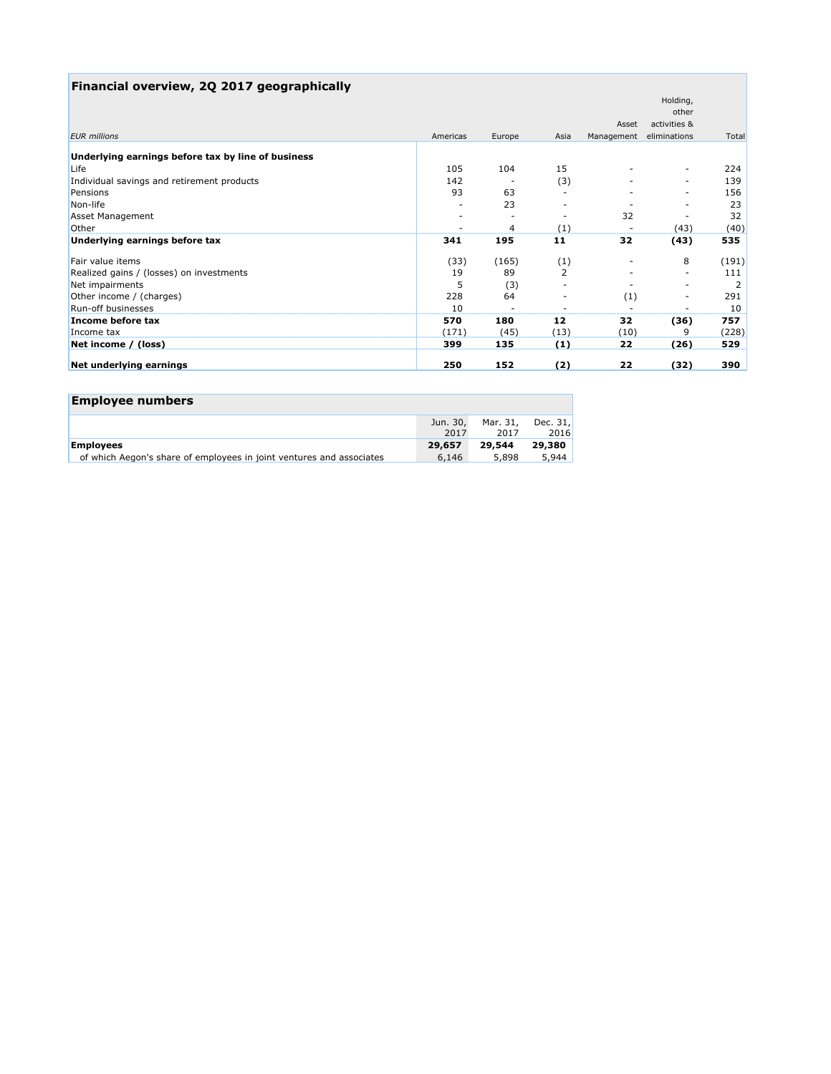# **Financial overview, 2Q 2017 geographically**

|                                                    |          |        |                          |            | Holding,                 |       |
|----------------------------------------------------|----------|--------|--------------------------|------------|--------------------------|-------|
|                                                    |          |        |                          |            | other                    |       |
|                                                    |          |        |                          | Asset      | activities &             |       |
| <b>EUR</b> millions                                | Americas | Europe | Asia                     | Management | eliminations             | Total |
| Underlying earnings before tax by line of business |          |        |                          |            |                          |       |
| Life                                               | 105      | 104    | 15                       |            | -                        | 224   |
| Individual savings and retirement products         | 142      |        | (3)                      |            | $\overline{\phantom{0}}$ | 139   |
| Pensions                                           | 93       | 63     |                          |            | $\overline{\phantom{0}}$ | 156   |
| Non-life                                           |          | 23     |                          |            |                          | 23    |
| <b>Asset Management</b>                            |          |        | $\overline{\phantom{a}}$ | 32         |                          | 32    |
| Other                                              |          | 4      | (1)                      |            | (43)                     | (40)  |
| Underlying earnings before tax                     | 341      | 195    | 11                       | 32         | (43)                     | 535   |
| Fair value items                                   | (33)     | (165)  | (1)                      |            | 8                        | (191) |
| Realized gains / (losses) on investments           | 19       | 89     | $\overline{2}$           |            | $\overline{\phantom{a}}$ | 111   |
| Net impairments                                    | 5        | (3)    |                          |            | -                        |       |
| Other income / (charges)                           | 228      | 64     |                          | (1)        | $\overline{\phantom{a}}$ | 291   |
| Run-off businesses                                 | 10       |        |                          |            |                          | 10    |
| Income before tax                                  | 570      | 180    | 12                       | 32         | (36)                     | 757   |
| Income tax                                         | (171)    | (45)   | (13)                     | (10)       | 9                        | (228) |
| Net income / (loss)                                | 399      | 135    | (1)                      | 22         | (26)                     | 529   |
| Net underlying earnings                            | 250      | 152    | (2)                      | 22         | (32)                     | 390   |

| <b>Employee numbers</b>                                              |                  |                  |                  |
|----------------------------------------------------------------------|------------------|------------------|------------------|
|                                                                      | Jun. 30,<br>2017 | Mar. 31,<br>2017 | Dec. 31,<br>2016 |
| <b>Employees</b>                                                     | 29,657           | 29,544           | 29,380           |
| of which Aegon's share of employees in joint ventures and associates | 6,146            | 5,898            | 5.944            |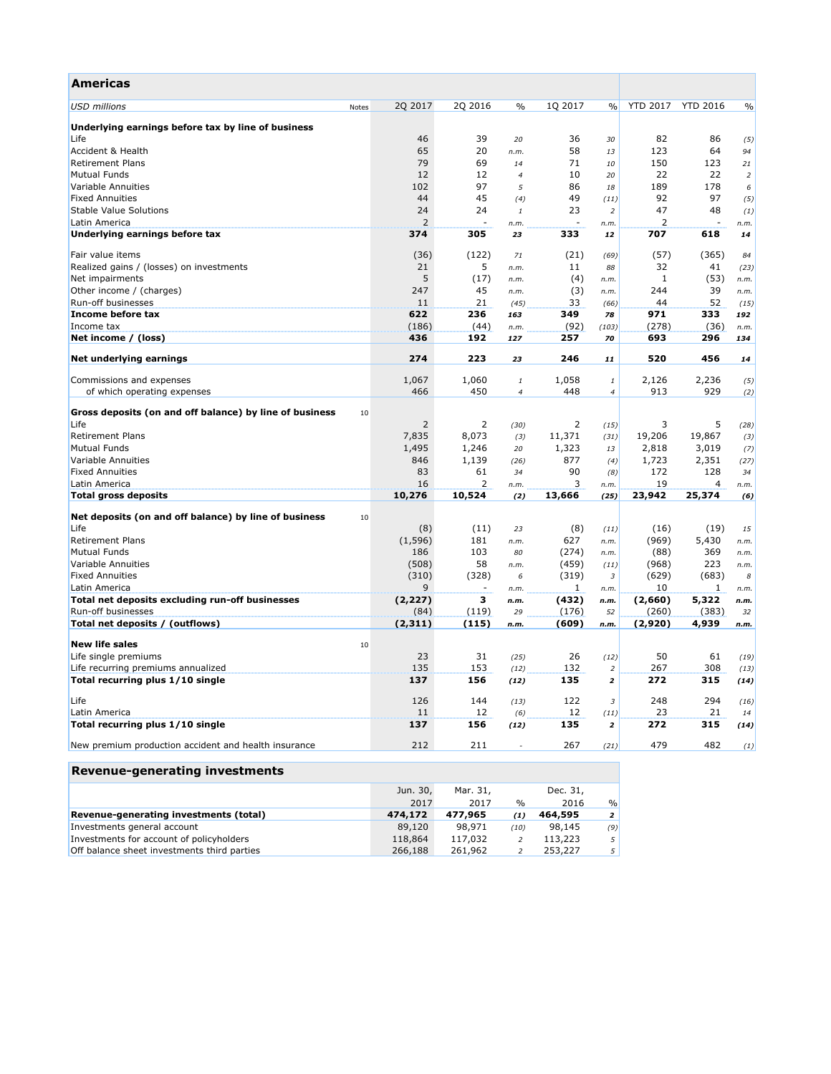| <b>Americas</b>                                               |                  |                          |                  |                          |                         |                  |                          |               |
|---------------------------------------------------------------|------------------|--------------------------|------------------|--------------------------|-------------------------|------------------|--------------------------|---------------|
| <b>USD</b> millions<br><b>Notes</b>                           | 2Q 2017          | 2Q 2016                  | $\%$             | 1Q 2017                  | $\frac{0}{0}$           | <b>YTD 2017</b>  | <b>YTD 2016</b>          | $\frac{0}{0}$ |
| Underlying earnings before tax by line of business            |                  |                          |                  |                          |                         |                  |                          |               |
| Life                                                          | 46               | 39                       | 20               | 36                       | 30                      | 82               | 86                       | (5)           |
| Accident & Health                                             | 65               | 20                       | n.m.             | 58                       | 13                      | 123              | 64                       | 94            |
| <b>Retirement Plans</b>                                       | 79               | 69                       | 14               | 71                       | 10                      | 150              | 123                      | 21            |
| <b>Mutual Funds</b>                                           | 12               | 12                       | $\overline{4}$   | 10                       | 20                      | 22               | 22                       | 2             |
| Variable Annuities                                            | 102              | 97                       | 5                | 86                       | 18                      | 189              | 178                      | 6             |
| <b>Fixed Annuities</b>                                        | 44               | 45                       | (4)              | 49                       | (11)                    | 92               | 97                       | (5)           |
| <b>Stable Value Solutions</b>                                 | 24               | 24                       | $\mathbf{1}$     | 23                       | $\overline{2}$          | 47               | 48                       | (1)           |
| Latin America                                                 | 2                | $\overline{\phantom{a}}$ | n.m.             | $\overline{\phantom{a}}$ | n.m.                    | 2                | $\overline{\phantom{a}}$ | n.m.          |
| Underlying earnings before tax                                | 374              | 305                      | 23               | 333                      | 12                      | 707              | 618                      | 14            |
| Fair value items                                              | (36)             | (122)                    | 71               | (21)                     | (69)                    | (57)             | (365)                    | 84            |
| Realized gains / (losses) on investments                      | 21               | 5                        | n.m.             | 11                       | 88                      | 32               | 41                       | (23)          |
| Net impairments                                               | 5                | (17)                     | n.m.             | (4)                      | n.m.                    | 1                | (53)                     | n.m.          |
| Other income / (charges)                                      | 247              | 45                       | n.m.             | (3)                      | n.m.                    | 244              | 39                       | n.m.          |
| Run-off businesses                                            | 11               | 21                       | (45)             | 33                       | (66)                    | 44               | 52                       | (15)          |
| Income before tax                                             | 622              | 236                      | 163              | 349                      | 78                      | 971              | 333                      | 192           |
| Income tax                                                    | (186)            | (44)                     | n.m.             | (92)                     | (103)                   | (278)            | (36)                     | n.m.          |
| Net income / (loss)                                           | 436              | 192                      | 127              | 257                      | 70                      | 693              | 296                      | 134           |
| Net underlying earnings                                       | 274              | 223                      | 23               | 246                      | 11                      | 520              | 456                      | 14            |
|                                                               |                  |                          |                  |                          |                         |                  |                          |               |
| Commissions and expenses                                      | 1,067            | 1,060                    | 1                | 1,058                    | 1                       | 2,126            | 2,236                    | (5)           |
| of which operating expenses                                   | 466              | 450                      | $\boldsymbol{4}$ | 448                      | $\overline{4}$          | 913              | 929                      | (2)           |
| Gross deposits (on and off balance) by line of business<br>10 |                  |                          |                  |                          |                         |                  |                          |               |
| Life                                                          | 2                | $\overline{2}$           | (30)             | 2                        | (15)                    | 3                | 5                        | (28)          |
| <b>Retirement Plans</b>                                       | 7,835            | 8,073                    | (3)              | 11,371                   | (31)                    | 19,206           | 19,867                   | (3)           |
| <b>Mutual Funds</b>                                           | 1,495            | 1,246                    | 20               | 1,323                    | 13                      | 2,818            | 3,019                    | (7)           |
| Variable Annuities                                            | 846              | 1,139                    | (26)             | 877                      | (4)                     | 1,723            | 2,351                    | (27)          |
| <b>Fixed Annuities</b>                                        | 83               | 61                       | 34               | 90                       | (8)                     | 172              | 128                      | 34            |
| Latin America                                                 | 16               | 2                        | n.m.             | 3                        | n.m.                    | 19               | 4                        | n.m.          |
| Total gross deposits                                          | 10,276           | 10,524                   | (2)              | 13,666                   | (25)                    | 23,942           | 25,374                   | (6)           |
| Net deposits (on and off balance) by line of business<br>10   |                  |                          |                  |                          |                         |                  |                          |               |
| Life                                                          | (8)              | (11)                     | 23               | (8)                      | (11)                    | (16)             | (19)                     | 15            |
| <b>Retirement Plans</b>                                       | (1, 596)         | 181                      | n.m.             | 627                      | n.m.                    | (969)            | 5,430                    | n.m.          |
| <b>Mutual Funds</b>                                           | 186              | 103                      | 80               | (274)                    | n.m.                    | (88)             | 369                      | n.m.          |
| Variable Annuities                                            | (508)            | 58                       | n.m.             | (459)                    | (11)                    | (968)            | 223                      | n.m.          |
| <b>Fixed Annuities</b>                                        | (310)            | (328)                    | 6                | (319)                    | 3                       | (629)            | (683)                    | 8             |
| Latin America                                                 | 9                | $\overline{\phantom{a}}$ | n.m.             | $\mathbf{1}$             | n.m.                    | 10               | 1                        | n.m.          |
| Total net deposits excluding run-off businesses               | (2, 227)         | 3                        | n.m.             | (432)                    | n.m.                    | (2,660)          | 5,322                    | n.m.          |
| Run-off businesses<br>Total net deposits / (outflows)         | (84)<br>(2, 311) | (119)<br>(115)           | 29<br>n.m.       | (176)<br>(609)           | 52<br>n.m.              | (260)<br>(2,920) | (383)<br>4,939           | 32<br>n.m.    |
|                                                               |                  |                          |                  |                          |                         |                  |                          |               |
| <b>New life sales</b><br>10<br>Life single premiums           | 23               | 31                       |                  | 26                       |                         | 50               | 61                       | (19)          |
| Life recurring premiums annualized                            | 135              | 153                      | (25)<br>(12)     | 132                      | (12)<br>$\overline{2}$  | 267              | 308                      |               |
| Total recurring plus 1/10 single                              | 137              | 156                      | (12)             | 135                      | $\overline{\mathbf{z}}$ | 272              | 315                      | (13)<br>(14)  |
|                                                               |                  |                          |                  |                          |                         |                  |                          |               |
| Life                                                          | 126              | 144                      | (13)             | 122                      | 3                       | 248              | 294                      | (16)          |
| Latin America                                                 | 11               | 12                       | (6)              | 12                       | (11)                    | 23               | 21                       | 14            |
| Total recurring plus 1/10 single                              | 137              | 156                      | (12)             | 135                      | $\overline{2}$          | 272              | 315                      | (14)          |
| New premium production accident and health insurance          | 212              | 211                      |                  | 267                      | (21)                    | 479              | 482                      | (1)           |
| <b>Revenue-generating investments</b>                         |                  |                          |                  |                          |                         |                  |                          |               |

|                                               | Jun. 30, | Mar. 31, |      | Dec. 31, |                |
|-----------------------------------------------|----------|----------|------|----------|----------------|
|                                               | 2017     | 2017     | $\%$ | 2016     | $\%$           |
| <b>Revenue-generating investments (total)</b> | 474,172  | 477,965  | (1)  | 464,595  | $\overline{2}$ |
| Investments general account                   | 89,120   | 98.971   | (10) | 98,145   | (9)            |
| Investments for account of policyholders      | 118,864  | 117,032  |      | 113,223  | 5              |
| Off balance sheet investments third parties   | 266,188  | 261,962  |      | 253,227  | 5              |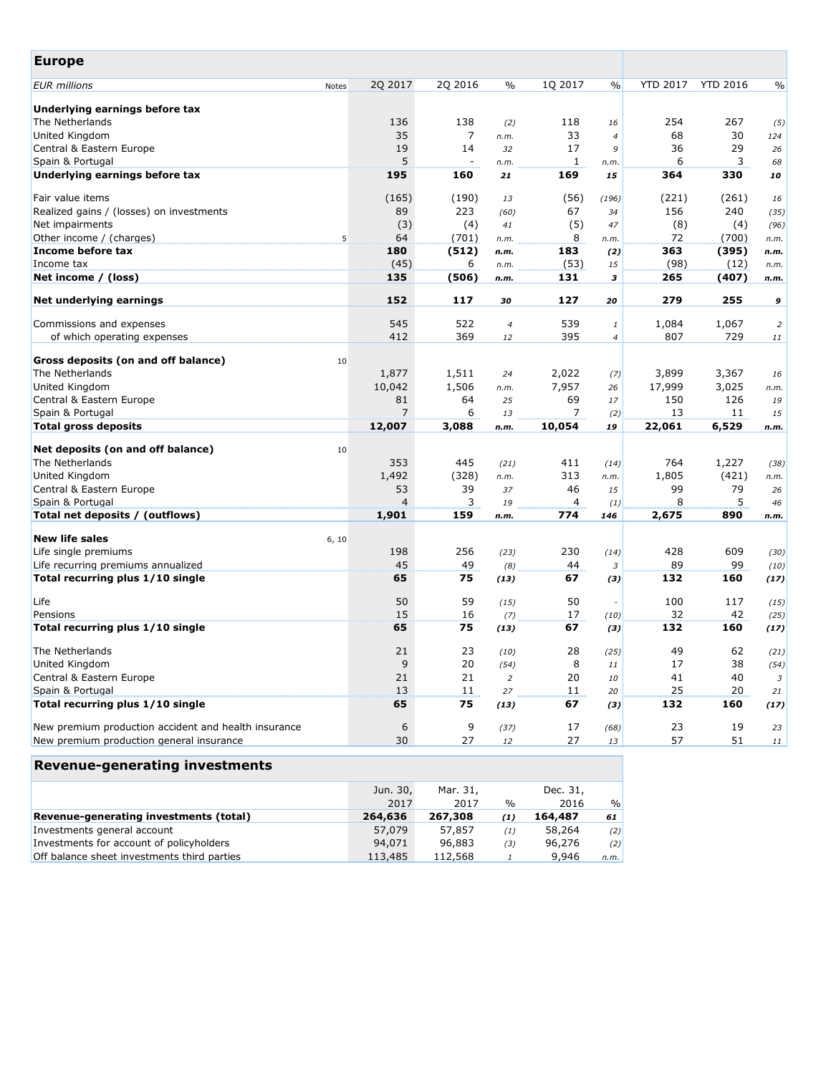| <b>Europe</b>                                        |              |                |                          |                |         |                |                 |                 |                |
|------------------------------------------------------|--------------|----------------|--------------------------|----------------|---------|----------------|-----------------|-----------------|----------------|
| <b>EUR</b> millions                                  | <b>Notes</b> | 2Q 2017        | 2Q 2016                  | $\%$           | 1Q 2017 | $\frac{0}{0}$  | <b>YTD 2017</b> | <b>YTD 2016</b> | $\frac{0}{0}$  |
| Underlying earnings before tax                       |              |                |                          |                |         |                |                 |                 |                |
| The Netherlands                                      |              | 136            | 138                      | (2)            | 118     | 16             | 254             | 267             | (5)            |
| United Kingdom                                       |              | 35             | 7                        | n.m.           | 33      | $\overline{4}$ | 68              | 30              | 124            |
| Central & Eastern Europe                             |              | 19             | 14                       | 32             | 17      | 9              | 36              | 29              | 26             |
| Spain & Portugal                                     |              | 5              | $\overline{\phantom{a}}$ | n.m.           | 1       | n.m.           | 6               | 3               | 68             |
| Underlying earnings before tax                       |              | 195            | 160                      | 21             | 169     | 15             | 364             | 330             | 10             |
| Fair value items                                     |              | (165)          | (190)                    | 13             | (56)    | (196)          | (221)           | (261)           | 16             |
| Realized gains / (losses) on investments             |              | 89             | 223                      | (60)           | 67      | 34             | 156             | 240             | (35)           |
| Net impairments                                      |              | (3)            | (4)                      | 41             | (5)     | 47             | (8)             | (4)             | (96)           |
| Other income / (charges)                             | 5            | 64             | (701)                    | n.m.           | 8       | n.m.           | 72              | (700)           | n.m.           |
| Income before tax                                    |              | 180            | (512)                    | n.m.           | 183     | (2)            | 363             | (395)           | n.m.           |
| Income tax                                           |              | (45)           | 6                        | n.m.           | (53)    | 15             | (98)            | (12)            | n.m.           |
| Net income / (loss)                                  |              | 135            | (506)                    | n.m.           | 131     | 3              | 265             | (407)           | n.m.           |
| <b>Net underlying earnings</b>                       |              | 152            | 117                      | 30             | 127     | 20             | 279             | 255             | 9              |
| Commissions and expenses                             |              | 545            | 522                      | 4              | 539     | 1              | 1,084           | 1,067           | $\overline{a}$ |
| of which operating expenses                          |              | 412            | 369                      | 12             | 395     | 4              | 807             | 729             | 11             |
|                                                      |              |                |                          |                |         |                |                 |                 |                |
| <b>Gross deposits (on and off balance)</b>           | 10           |                |                          |                |         |                |                 |                 |                |
| The Netherlands                                      |              | 1,877          | 1,511                    | 24             | 2,022   | (7)            | 3,899           | 3,367           | 16             |
| United Kingdom                                       |              | 10,042         | 1,506                    | n.m.           | 7,957   | 26             | 17,999          | 3,025           | n.m.           |
| Central & Eastern Europe                             |              | 81             | 64                       | 25             | 69      | 17             | 150             | 126             | 19             |
| Spain & Portugal                                     |              | $\overline{7}$ | 6                        | 13             | 7       | (2)            | 13              | 11              | 15             |
| <b>Total gross deposits</b>                          |              | 12,007         | 3,088                    | n.m.           | 10,054  | 19             | 22,061          | 6,529           | n.m.           |
|                                                      |              |                |                          |                |         |                |                 |                 |                |
| Net deposits (on and off balance)                    | 10           |                |                          |                |         |                |                 |                 |                |
| The Netherlands                                      |              | 353            | 445                      | (21)           | 411     | (14)           | 764             | 1,227           | (38)           |
| United Kingdom                                       |              | 1,492          | (328)                    | n.m.           | 313     | n.m.           | 1,805           | (421)           | n.m.           |
| Central & Eastern Europe                             |              | 53             | 39                       | 37             | 46      | 15             | 99              | 79              | 26             |
| Spain & Portugal                                     |              | 4              | 3                        | 19             | 4       | (1)            | 8               | 5               | 46             |
| Total net deposits / (outflows)                      |              | 1,901          | 159                      | n.m.           | 774     | 146            | 2,675           | 890             | n.m.           |
| <b>New life sales</b>                                | 6, 10        |                |                          |                |         |                |                 |                 |                |
| Life single premiums                                 |              | 198            | 256                      | (23)           | 230     | (14)           | 428             | 609             | (30)           |
| Life recurring premiums annualized                   |              | 45             | 49                       | (8)            | 44      | 3              | 89              | 99              | (10)           |
| Total recurring plus 1/10 single                     |              | 65             | 75                       | (13)           | 67      | (3)            | 132             | 160             | (17)           |
| Life                                                 |              | 50             | 59                       | (15)           | 50      |                | 100             | 117             | (15)           |
| Pensions                                             |              | 15             | 16                       | (7)            | 17      | (10)           | 32              | 42              | (25)           |
| Total recurring plus 1/10 single                     |              | 65             | 75                       | (13)           | 67      | (3)            | 132             | 160             | (17)           |
| The Netherlands                                      |              | 21             | 23                       | (10)           | 28      | (25)           | 49              | 62              | (21)           |
| <b>United Kingdom</b>                                |              | 9              | 20                       | (54)           | 8       | 11             | 17              | 38              | (54)           |
| Central & Eastern Europe                             |              | 21             | 21                       | $\overline{a}$ | 20      | 10             | 41              | 40              | 3 <sup>1</sup> |
| Spain & Portugal                                     |              | 13             | 11                       | 27             | 11      | 20             | 25              | 20              | 21             |
| Total recurring plus 1/10 single                     |              | 65             | 75                       | (13)           | 67      | (3)            | 132             | 160             | (17)           |
|                                                      |              |                |                          |                |         |                |                 |                 |                |
| New premium production accident and health insurance |              | 6              | 9                        | (37)           | 17      | (68)           | 23              | 19              | 23             |
| New premium production general insurance             |              | 30             | 27                       | 12             | 27      | 13             | 57              | 51              | 11             |
| aanavatina invaatmanta                               |              |                |                          |                |         |                |                 |                 |                |

| Revenue-generating investments              |          |          |               |          |      |
|---------------------------------------------|----------|----------|---------------|----------|------|
|                                             | Jun. 30, | Mar. 31, |               | Dec. 31, |      |
|                                             | 2017     | 2017     | $\frac{0}{0}$ | 2016     | $\%$ |
| Revenue-generating investments (total)      | 264,636  | 267,308  | (1)           | 164,487  | 61   |
| Investments general account                 | 57,079   | 57,857   | (1)           | 58,264   | (2)  |
| Investments for account of policyholders    | 94,071   | 96,883   | (3)           | 96,276   | (2)  |
| Off balance sheet investments third parties | 113,485  | 112,568  |               | 9,946    | n.m. |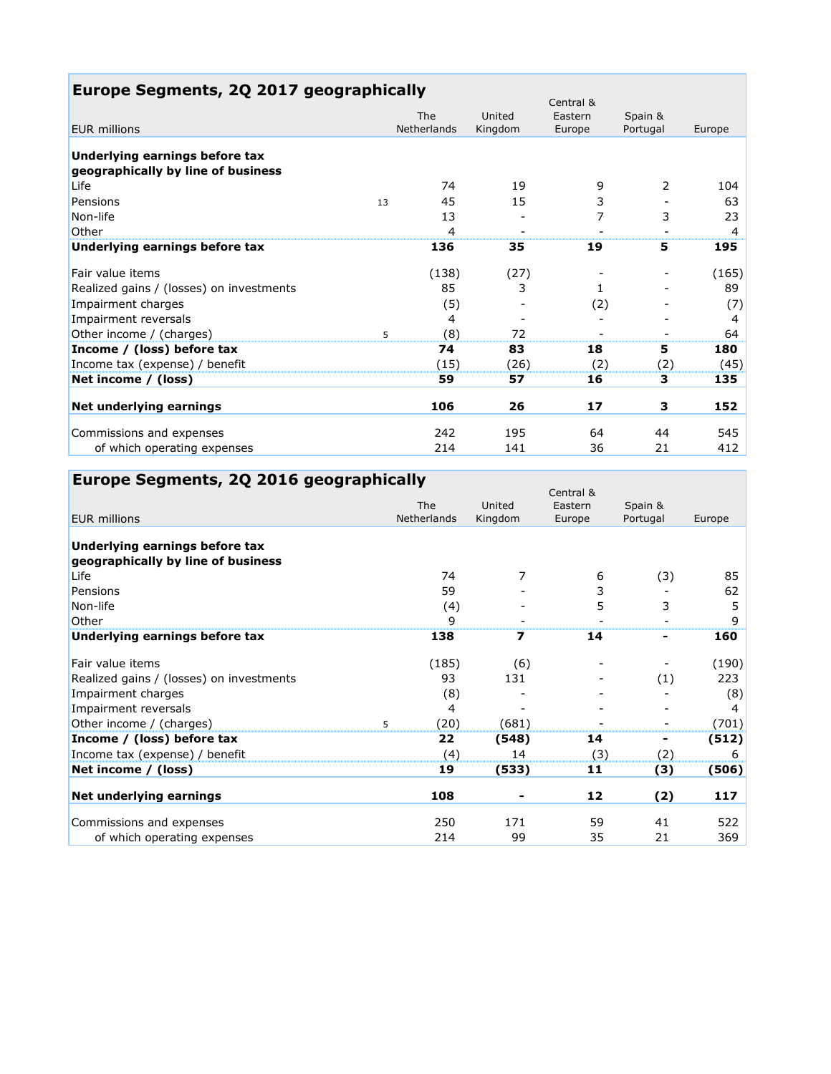| Europe Segments, 2Q 2017 geographically                              |    |             |         | Central & |          |        |
|----------------------------------------------------------------------|----|-------------|---------|-----------|----------|--------|
|                                                                      |    | The         | United  | Eastern   | Spain &  |        |
| <b>EUR</b> millions                                                  |    | Netherlands | Kingdom | Europe    | Portugal | Europe |
| Underlying earnings before tax<br>geographically by line of business |    |             |         |           |          |        |
| Life                                                                 |    | 74          | 19      | 9         | 2        | 104    |
| Pensions                                                             | 13 | 45          | 15      | 3         |          | 63     |
| Non-life                                                             |    | 13          |         | 7         | 3        | 23     |
| Other                                                                |    | 4           |         |           |          | 4      |
| Underlying earnings before tax                                       |    | 136         | 35      | 19        | 5        | 195    |
| Fair value items                                                     |    | (138)       | (27)    |           |          | (165)  |
| Realized gains / (losses) on investments                             |    | 85          | 3       | 1         |          | 89     |
| Impairment charges                                                   |    | (5)         |         | (2)       |          | (7)    |
| Impairment reversals                                                 |    | 4           |         |           |          | 4      |
| Other income / (charges)                                             | 5  | (8)         | 72      |           |          | 64     |
| Income / (loss) before tax                                           |    | 74          | 83      | 18        | 5        | 180    |
| Income tax (expense) / benefit                                       |    | (15)        | (26)    | (2)       | (2)      | (45)   |
| Net income / (loss)                                                  |    | 59          | 57      | 16        | з        | 135    |
| Net underlying earnings                                              |    | 106         | 26      | 17        | З        | 152    |
| Commissions and expenses                                             |    | 242         | 195     | 64        | 44       | 545    |
| of which operating expenses                                          |    | 214         | 141     | 36        | 21       | 412    |

| Europe Segments, 2Q 2016 geographically |  |  |  |  |
|-----------------------------------------|--|--|--|--|
|-----------------------------------------|--|--|--|--|

|                                          | The         | United                  | Central &<br>Eastern | Spain &  |        |
|------------------------------------------|-------------|-------------------------|----------------------|----------|--------|
| <b>EUR millions</b>                      | Netherlands | Kingdom                 | Europe               | Portugal | Europe |
| Underlying earnings before tax           |             |                         |                      |          |        |
| geographically by line of business       |             |                         |                      |          |        |
| Life                                     | 74          | 7                       | 6                    | (3)      | 85     |
| Pensions                                 | 59          |                         | 3                    |          | 62     |
| Non-life                                 | (4)         |                         | 5                    | 3        | 5      |
| Other                                    | 9           |                         |                      |          | 9      |
| Underlying earnings before tax           | 138         | $\overline{\mathbf{z}}$ | 14                   |          | 160    |
| Fair value items                         | (185)       | (6)                     |                      |          | (190)  |
| Realized gains / (losses) on investments | 93          | 131                     |                      | (1)      | 223    |
| Impairment charges                       | (8)         |                         |                      |          | (8)    |
| Impairment reversals                     | 4           |                         |                      |          | 4      |
| Other income / (charges)                 | (20)<br>5   | (681)                   |                      |          | (701)  |
| Income / (loss) before tax               | 22          | (548)                   | 14                   | ۰.       | (512)  |
| Income tax (expense) / benefit           | (4)         | 14                      | (3)                  | (2)      | 6      |
| Net income / (loss)                      | 19          | (533)                   | 11                   | (3)      | (506)  |
| Net underlying earnings                  | 108         |                         | 12                   | (2)      | 117    |
| Commissions and expenses                 | 250         | 171                     | 59                   | 41       | 522    |
| of which operating expenses              | 214         | 99                      | 35                   | 21       | 369    |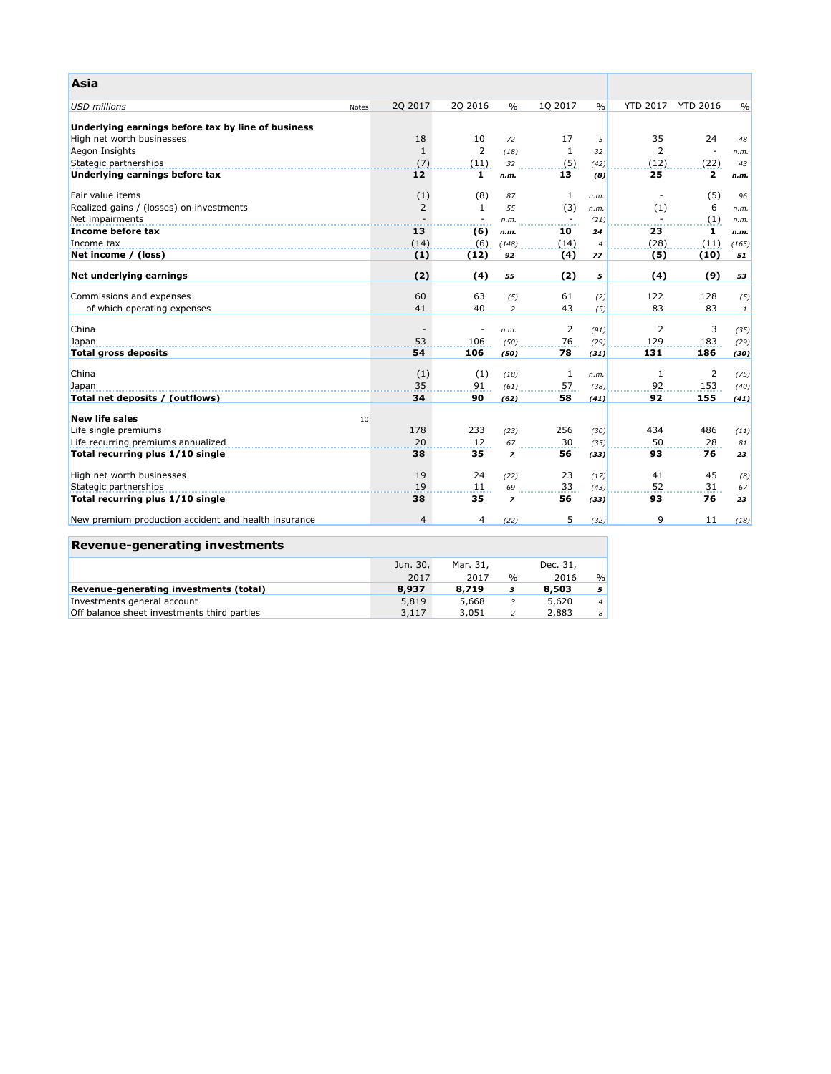| <b>Asia</b>                                          |                |                          |                         |                          |                |                          |                          |               |
|------------------------------------------------------|----------------|--------------------------|-------------------------|--------------------------|----------------|--------------------------|--------------------------|---------------|
| <b>USD millions</b><br><b>Notes</b>                  | 2Q 2017        | 2Q 2016                  | $\frac{0}{0}$           | 1Q 2017                  | $\frac{0}{0}$  | <b>YTD 2017</b>          | <b>YTD 2016</b>          | $\frac{0}{0}$ |
| Underlying earnings before tax by line of business   |                |                          |                         |                          |                |                          |                          |               |
| High net worth businesses                            | 18             | 10                       | 72                      | 17                       | 5              | 35                       | 24                       | 48            |
| Aegon Insights                                       | $\mathbf{1}$   | $\overline{2}$           | (18)                    | $\mathbf{1}$             | 32             | $\overline{2}$           | $\overline{\phantom{a}}$ | n.m.          |
| Stategic partnerships                                | (7)            | (11)                     | 32                      | (5)                      | (42)           | (12)                     | (22)                     | 43            |
| Underlying earnings before tax                       | 12             | 1                        | n.m.                    | 13                       | (8)            | 25                       | $\mathbf{2}$             | n.m.          |
| Fair value items                                     | (1)            | (8)                      | 87                      | 1                        | n.m.           | $\overline{\phantom{a}}$ | (5)                      | 96            |
| Realized gains / (losses) on investments             | 2              | $\mathbf{1}$             | 55                      | (3)                      | n.m.           | (1)                      | 6                        | n.m.          |
| Net impairments                                      |                | $\overline{\phantom{a}}$ | n.m.                    | $\overline{\phantom{a}}$ | (21)           | $\sim$                   | (1)                      | n.m.          |
| Income before tax                                    | 13             | (6)                      | n.m.                    | 10                       | 24             | 23                       | $\mathbf{1}$             | n.m.          |
| Income tax                                           | (14)           | (6)                      | (148)                   | (14)                     | $\overline{4}$ | (28)                     | (11)                     | (165)         |
| Net income / (loss)                                  | (1)            | (12)                     | 92                      | (4)                      | 77             | (5)                      | (10)                     | 51            |
| Net underlying earnings                              | (2)            | (4)                      | 55                      | (2)                      | 5              | (4)                      | (9)                      | 53            |
| Commissions and expenses                             | 60             | 63                       | (5)                     | 61                       | (2)            | 122                      | 128                      | (5)           |
| of which operating expenses                          | 41             | 40                       | $\overline{c}$          | 43                       | (5)            | 83                       | 83                       | $\mathbf{1}$  |
| China                                                |                | $\overline{\phantom{a}}$ | n.m.                    | $\overline{2}$           | (91)           | $\overline{2}$           | 3                        | (35)          |
| Japan                                                | 53             | 106                      | (50)                    | 76                       | (29)           | 129                      | 183                      | (29)          |
| <b>Total gross deposits</b>                          | 54             | 106                      | (50)                    | 78                       | (31)           | 131                      | 186                      | (30)          |
| China                                                | (1)            | (1)                      | (18)                    | $\mathbf{1}$             | n.m.           | 1                        | $\overline{2}$           | (75)          |
| Japan                                                | 35             | 91                       | (61)                    | 57                       | (38)           | 92                       | 153                      | (40)          |
| Total net deposits / (outflows)                      | 34             | 90                       | (62)                    | 58                       | (41)           | 92                       | 155                      | (41)          |
| <b>New life sales</b><br>10                          |                |                          |                         |                          |                |                          |                          |               |
| Life single premiums                                 | 178            | 233                      | (23)                    | 256                      | (30)           | 434                      | 486                      | (11)          |
| Life recurring premiums annualized                   | 20             | 12                       | 67                      | 30                       | (35)           | 50                       | 28                       | 81            |
| Total recurring plus 1/10 single                     | 38             | 35                       | $\overline{\mathbf{z}}$ | 56                       | (33)           | 93                       | 76                       | 23            |
| High net worth businesses                            | 19             | 24                       | (22)                    | 23                       | (17)           | 41                       | 45                       | (8)           |
| Stategic partnerships                                | 19             | 11                       | 69                      | 33                       | (43)           | 52                       | 31                       | 67            |
| Total recurring plus 1/10 single                     | 38             | 35                       | $\overline{\mathbf{z}}$ | 56                       | (33)           | 93                       | 76                       | 23            |
| New premium production accident and health insurance | $\overline{4}$ | 4                        | (22)                    | 5                        | (32)           | 9                        | 11                       | (18)          |

|  | <b>Revenue-generating investments</b> |  |
|--|---------------------------------------|--|
|  |                                       |  |

|                                               | Jun. 30, | Mar. 31, |      | Dec. 31, |                |
|-----------------------------------------------|----------|----------|------|----------|----------------|
|                                               | 2017     | 2017     | $\%$ | 2016     | $\frac{0}{0}$  |
| <b>Revenue-generating investments (total)</b> | 8,937    | 8,719    |      | 8,503    | 5              |
| Investments general account                   | 5,819    | 5,668    | 3    | 5,620    | $\overline{4}$ |
| Off balance sheet investments third parties   | 3,117    | 3,051    |      | 2,883    | 8              |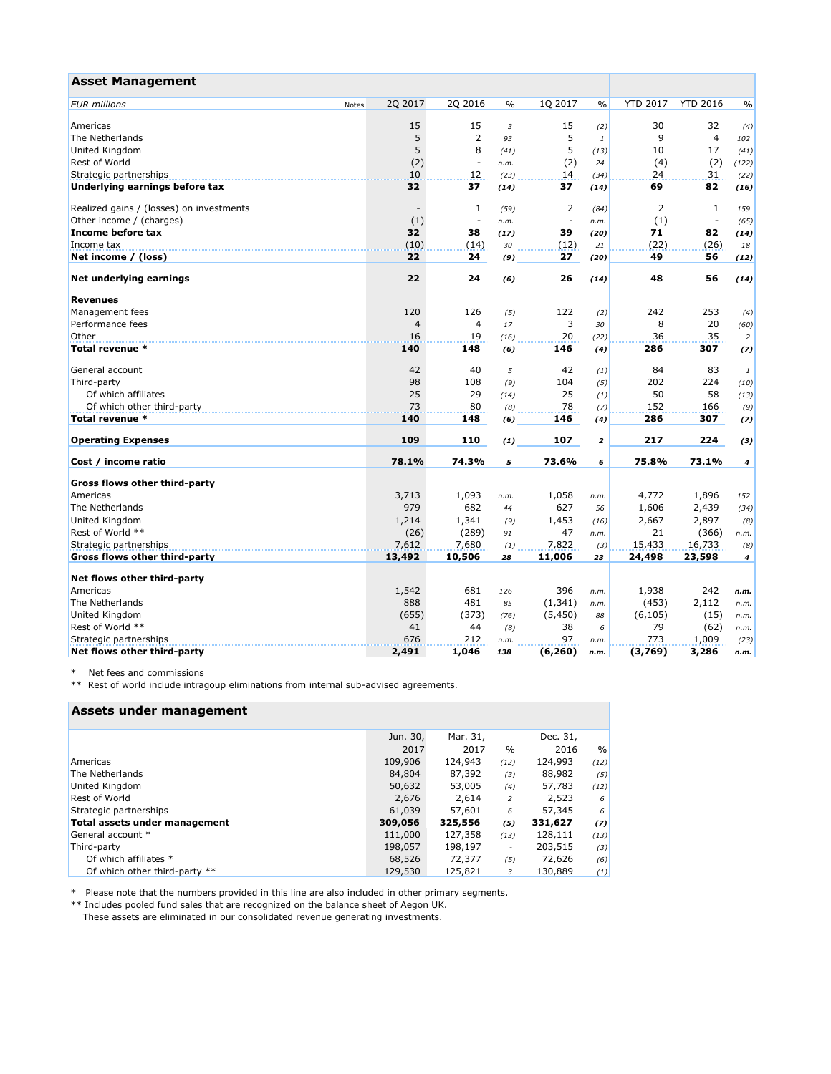| <b>Asset Management</b>                  |              |                          |           |                          |                         |                 |                 |                       |
|------------------------------------------|--------------|--------------------------|-----------|--------------------------|-------------------------|-----------------|-----------------|-----------------------|
| <b>EUR</b> millions<br>Notes             | 2Q 2017      | 2Q 2016                  | $\%$      | 1Q 2017                  | $\frac{0}{0}$           | <b>YTD 2017</b> | <b>YTD 2016</b> | $\frac{0}{0}$         |
|                                          |              |                          |           |                          |                         |                 |                 |                       |
| Americas                                 | 15           | 15                       | 3         | 15                       | (2)                     | 30              | 32              | (4)                   |
| The Netherlands                          | 5            | $\overline{2}$           | 93        | 5                        | $\mathbf{1}$            | 9               | 4               | 102                   |
| United Kingdom                           | 5            | 8                        | (41)      | 5                        | (13)                    | 10              | 17              | (41)                  |
| <b>Rest of World</b>                     | (2)          | $\overline{\phantom{a}}$ | n.m.      | (2)                      | 24                      | (4)             | (2)             | (122)                 |
| Strategic partnerships                   | 10           | 12                       | (23)      | 14                       | (34)                    | 24              | 31              | (22)                  |
| Underlying earnings before tax           | 32           | 37                       | (14)      | 37                       | (14)                    | 69              | 82              | (16)                  |
| Realized gains / (losses) on investments |              | 1                        | (59)      | 2                        | (84)                    | 2               | $\mathbf{1}$    | 159                   |
| Other income / (charges)                 | (1)          | $\overline{\phantom{a}}$ | n.m.      | $\overline{\phantom{a}}$ | n.m.                    | (1)             |                 | (65)                  |
| Income before tax                        | 32           | 38                       | (17)      | 39                       | (20)                    | 71              | 82              | (14)                  |
| Income tax                               | (10)         | (14)                     | 30        | (12)                     | 21                      | (22)            | (26)            | 18                    |
| Net income / (loss)                      | 22           | 24                       | (9)       | 27                       | (20)                    | 49              | 56              | (12)                  |
| Net underlying earnings                  | 22           | 24                       | (6)       | 26                       | (14)                    | 48              | 56              | (14)                  |
|                                          |              |                          |           |                          |                         |                 |                 |                       |
| <b>Revenues</b>                          |              |                          |           |                          |                         |                 |                 |                       |
| Management fees                          | 120          | 126                      | (5)       | 122                      | (2)                     | 242             | 253             | (4)                   |
| Performance fees                         | 4            | $\overline{4}$           | 17        | 3                        | 30                      | 8               | 20              | (60)                  |
| Other                                    | 16           | 19                       | (16)      | 20                       | (22)                    | 36              | 35              | $\overline{2}$        |
| Total revenue *                          | 140          | 148                      | (6)       | 146                      | (4)                     | 286             | 307             | (7)                   |
| General account                          | 42           | 40                       | 5         | 42                       | (1)                     | 84              | 83              | 1                     |
| Third-party                              | 98           | 108                      | (9)       | 104                      | (5)                     | 202             | 224             | (10)                  |
| Of which affiliates                      | 25           | 29                       | (14)      | 25                       | (1)                     | 50              | 58              | (13)                  |
| Of which other third-party               | 73           | 80                       | (8)       | 78                       | (7)                     | 152             | 166             | (9)                   |
| Total revenue *                          | 140          | 148                      | (6)       | 146                      | (4)                     | 286             | 307             | (7)                   |
| <b>Operating Expenses</b>                | 109          | 110                      | (1)       | 107                      | $\overline{\mathbf{z}}$ | 217             | 224             | (3)                   |
| Cost / income ratio                      | 78.1%        | 74.3%                    | 5         | 73.6%                    | 6                       | 75.8%           | 73.1%           | 4                     |
| <b>Gross flows other third-party</b>     |              |                          |           |                          |                         |                 |                 |                       |
| Americas                                 | 3,713        | 1,093                    | n.m.      | 1,058                    | n.m.                    | 4,772           | 1,896           | 152                   |
| The Netherlands                          | 979          | 682                      | 44        | 627                      | 56                      | 1,606           | 2,439           | (34)                  |
| United Kingdom                           | 1,214        | 1,341                    | (9)       | 1,453                    | (16)                    | 2,667           | 2,897           | (8)                   |
| Rest of World **                         | (26)         | (289)                    | 91        | 47                       | n.m.                    | 21              | (366)           | n.m.                  |
| Strategic partnerships                   | 7,612        | 7,680                    |           | 7,822                    |                         | 15,433          | 16,733          |                       |
| <b>Gross flows other third-party</b>     | 13,492       | 10,506                   | (1)<br>28 | 11,006                   | (3)<br>23               | 24,498          | 23,598          | (8)<br>$\overline{4}$ |
| Net flows other third-party              |              |                          |           |                          |                         |                 |                 |                       |
| Americas                                 |              | 681                      |           | 396                      |                         |                 | 242             |                       |
| The Netherlands                          | 1,542<br>888 | 481                      | 126       |                          | n.m.                    | 1,938           |                 | n.m.                  |
|                                          |              |                          | 85        | (1, 341)                 | n.m.                    | (453)           | 2,112           | n.m.                  |
| United Kingdom                           | (655)        | (373)                    | (76)      | (5, 450)                 | 88                      | (6, 105)        | (15)            | n.m.                  |
| Rest of World **                         | 41           | 44                       | (8)       | 38                       | 6                       | 79              | (62)            | n.m.                  |
| Strategic partnerships                   | 676          | 212                      | n.m.      | 97                       | n.m.                    | 773             | 1,009           | (23)                  |
| Net flows other third-party              | 2,491        | 1,046                    | 138       | (6, 260)                 | n.m.                    | (3,769)         | 3,286           | n.m.                  |

\* Net fees and commissions

\*\* Rest of world include intragoup eliminations from internal sub-advised agreements.

| Assets under management              |          |          |                          |          |      |
|--------------------------------------|----------|----------|--------------------------|----------|------|
|                                      | Jun. 30, | Mar. 31, |                          | Dec. 31, |      |
|                                      | 2017     | 2017     | $\%$                     | 2016     | $\%$ |
| Americas                             | 109,906  | 124,943  | (12)                     | 124,993  | (12) |
| The Netherlands                      | 84,804   | 87,392   | (3)                      | 88,982   | (5)  |
| United Kingdom                       | 50,632   | 53,005   | (4)                      | 57,783   | (12) |
| Rest of World                        | 2,676    | 2,614    | 2                        | 2,523    | 6    |
| Strategic partnerships               | 61,039   | 57,601   | 6                        | 57,345   | 6    |
| <b>Total assets under management</b> | 309,056  | 325,556  | (5)                      | 331,627  | (7)  |
| General account *                    | 111,000  | 127,358  | (13)                     | 128,111  | (13) |
| Third-party                          | 198,057  | 198,197  | $\overline{\phantom{a}}$ | 203,515  | (3)  |
| Of which affiliates *                | 68,526   | 72,377   | (5)                      | 72,626   | (6)  |
| Of which other third-party **        | 129,530  | 125,821  | 3                        | 130,889  | (1)  |

\* Please note that the numbers provided in this line are also included in other primary segments.

\*\* Includes pooled fund sales that are recognized on the balance sheet of Aegon UK. These assets are eliminated in our consolidated revenue generating investments.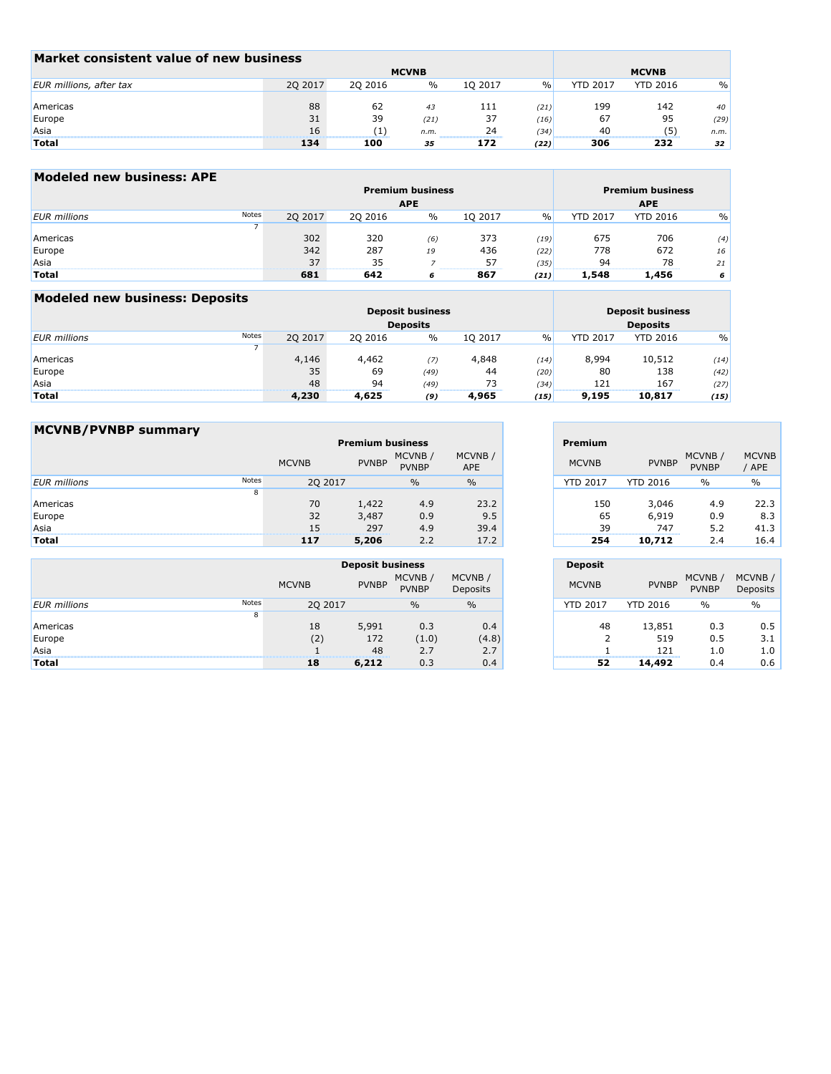| Market consistent value of new business |         |                  |      |              |      |                 |                 |               |  |  |  |  |
|-----------------------------------------|---------|------------------|------|--------------|------|-----------------|-----------------|---------------|--|--|--|--|
|                                         |         | <b>MCVNB</b>     |      | <b>MCVNB</b> |      |                 |                 |               |  |  |  |  |
| EUR millions, after tax                 | 2Q 2017 | 20 20 16         | $\%$ | 1Q 2017      | $\%$ | <b>YTD 2017</b> | <b>YTD 2016</b> | $\frac{9}{0}$ |  |  |  |  |
|                                         |         |                  |      |              |      |                 |                 |               |  |  |  |  |
| Americas                                | 88      | 62               | 43   | 111          | (21) | 199             | 142             | 40            |  |  |  |  |
| Europe                                  | 31      | 39               | (21) | 37           | (16) | 67              | 95              | (29)          |  |  |  |  |
| Asia                                    | 16      | $\left(1\right)$ | n.m. | 24           | (34) | 40              | (5)             | n.m.          |  |  |  |  |
| <b>Total</b>                            | 134     | 100              | 35   | 172          | (22) | 306             | 232             | 32            |  |  |  |  |

| <b>Modeled new business: APE</b> |       |         |         |                         |         |               |                 |                         |      |
|----------------------------------|-------|---------|---------|-------------------------|---------|---------------|-----------------|-------------------------|------|
|                                  |       |         |         | <b>Premium business</b> |         |               |                 | <b>Premium business</b> |      |
|                                  |       |         |         | <b>APE</b>              |         |               |                 | <b>APE</b>              |      |
| <b>EUR</b> millions              | Notes | 2Q 2017 | 2Q 2016 | %                       | 1Q 2017 | $\frac{0}{0}$ | <b>YTD 2017</b> | <b>YTD 2016</b>         | $\%$ |
|                                  |       |         |         |                         |         |               |                 |                         |      |
| Americas                         |       | 302     | 320     | (6)                     | 373     | (19)          | 675             | 706                     | (4)  |
| Europe                           |       | 342     | 287     | 19                      | 436     | (22)          | 778             | 672                     | 16   |
| Asia                             |       | 37      | 35      |                         | 57      | (35)          | 94              | 78                      | 21   |
| <b>Total</b>                     |       | 681     | 642     | 6                       | 867     | (21)          | 1,548           | 1,456                   | 6    |

| <b>Modeled new business: Deposits</b> |       |         |                         |                         |         |                 |                 |                 |      |
|---------------------------------------|-------|---------|-------------------------|-------------------------|---------|-----------------|-----------------|-----------------|------|
|                                       |       |         | <b>Deposit business</b> | <b>Deposit business</b> |         |                 |                 |                 |      |
|                                       |       |         |                         | <b>Deposits</b>         |         | <b>Deposits</b> |                 |                 |      |
| <b>EUR</b> millions                   | Notes | 2Q 2017 | 2Q 2016                 | $\%$                    | 10 2017 | $\%$            | <b>YTD 2017</b> | <b>YTD 2016</b> | $\%$ |
|                                       |       |         |                         |                         |         |                 |                 |                 |      |
| Americas                              |       | 4,146   | 4,462                   | (7)                     | 4,848   | (14)            | 8,994           | 10,512          | (14) |
| Europe                                |       | 35      | 69                      | (49)                    | 44      | (20)            | 80              | 138             | (42) |
| Asia                                  |       | 48      | 94                      | (49)                    | 73      | (34)            | 121             | 167             | (27) |
| <b>Total</b>                          |       | 4,230   | 4,625                   | (9)                     | 4,965   | (15)            | 9,195           | 10,817          | (15) |

 $\overline{\phantom{0}}$ 

| <b>MCVNB/PVNBP summary</b> |       |              |              |                         |                      |                 |                 |                        |              |
|----------------------------|-------|--------------|--------------|-------------------------|----------------------|-----------------|-----------------|------------------------|--------------|
|                            |       |              |              | <b>Premium business</b> |                      | <b>Premium</b>  |                 |                        |              |
|                            |       | <b>MCVNB</b> | <b>PVNBP</b> | MCVNB/<br><b>PVNBP</b>  | MCVNB/<br><b>APE</b> | <b>MCVNB</b>    | <b>PVNBP</b>    | MCVNB/<br><b>PVNBP</b> | <b>MCVNE</b> |
| <b>EUR</b> millions        | Notes | 2Q 2017      |              | $\%$                    | $\%$                 | <b>YTD 2017</b> | <b>YTD 2016</b> | $\%$                   |              |
|                            | 8     |              |              |                         |                      |                 |                 |                        |              |
| Americas                   |       | 70           | 1,422        | 4.9                     | 23.2                 | 150             | 3,046           | 4.9                    |              |
| Europe                     |       | 32           | 3,487        | 0.9                     | 9.5                  | 65              | 6,919           | 0.9                    |              |
| Asia                       |       | 15           | 297          | 4.9                     | 39.4                 | 39              | 747             | 5.2                    |              |
| Total                      |       | 117          | 5,206        | 2.2                     | 17.2                 | 254             | 10,712          | 2.4                    |              |

|                     |       | <b>Deposit business</b> |              |                        |                     |  |
|---------------------|-------|-------------------------|--------------|------------------------|---------------------|--|
|                     |       | <b>MCVNB</b>            | <b>PVNBP</b> | MCVNB/<br><b>PVNBP</b> | MCVNB /<br>Deposits |  |
| <b>EUR</b> millions | Notes | 2Q 2017                 |              | $\frac{0}{0}$          | $\frac{0}{0}$       |  |
|                     | 8     |                         |              |                        |                     |  |
| Americas            |       | 18                      | 5,991        | 0.3                    | 0.4                 |  |
| Europe              |       | (2)                     | 172          | (1.0)                  | (4.8)               |  |
| Asia                |       |                         | 48           | 2.7                    | 2.7                 |  |
| Total               |       | 18                      | 6,212        | 0.3                    | 0.4                 |  |

|              | emium business         |               | <b>Premium</b>  |                 |                        |
|--------------|------------------------|---------------|-----------------|-----------------|------------------------|
| <b>PVNBP</b> | MCVNB/<br><b>PVNBP</b> | MCVNB/<br>APE | <b>MCVNB</b>    | <b>PVNBP</b>    | MCVNB/<br><b>PVNBP</b> |
|              | $\frac{0}{0}$          | $\%$          | <b>YTD 2017</b> | <b>YTD 2016</b> | $\%$                   |
| 1,422        | 4.9                    | 23.2          | 150             | 3,046           | 4.9                    |
| 3,487        | 0.9                    | 9.5           | 65              | 6,919           | 0.9                    |
| 297          | 4.9                    | 39.4          | 39              | 747             | 5.2                    |
| 5,206        | 2.2                    | 17.2          | 254             | 10,712          | 2.4                    |

|                    | <b>Deposit</b>      |                 |                         |                     |
|--------------------|---------------------|-----------------|-------------------------|---------------------|
| MCVNB/<br>Deposits | <b>MCVNB</b>        | <b>PVNBP</b>    | MCVNB /<br><b>PVNBP</b> | MCVNB /<br>Deposits |
| $\%$               | <b>YTD 2017</b>     | <b>YTD 2016</b> | $\%$                    | $\%$                |
| 0.4<br>(4.8)       | 48<br>$\mathcal{P}$ | 13,851<br>519   | 0.3<br>0.5              | 0.5<br>3.1          |
| 2.7                |                     | 121             | 1.0                     | 1.0                 |
| 0.4                | 52                  | 14,492          | 0.4                     | 0.6                 |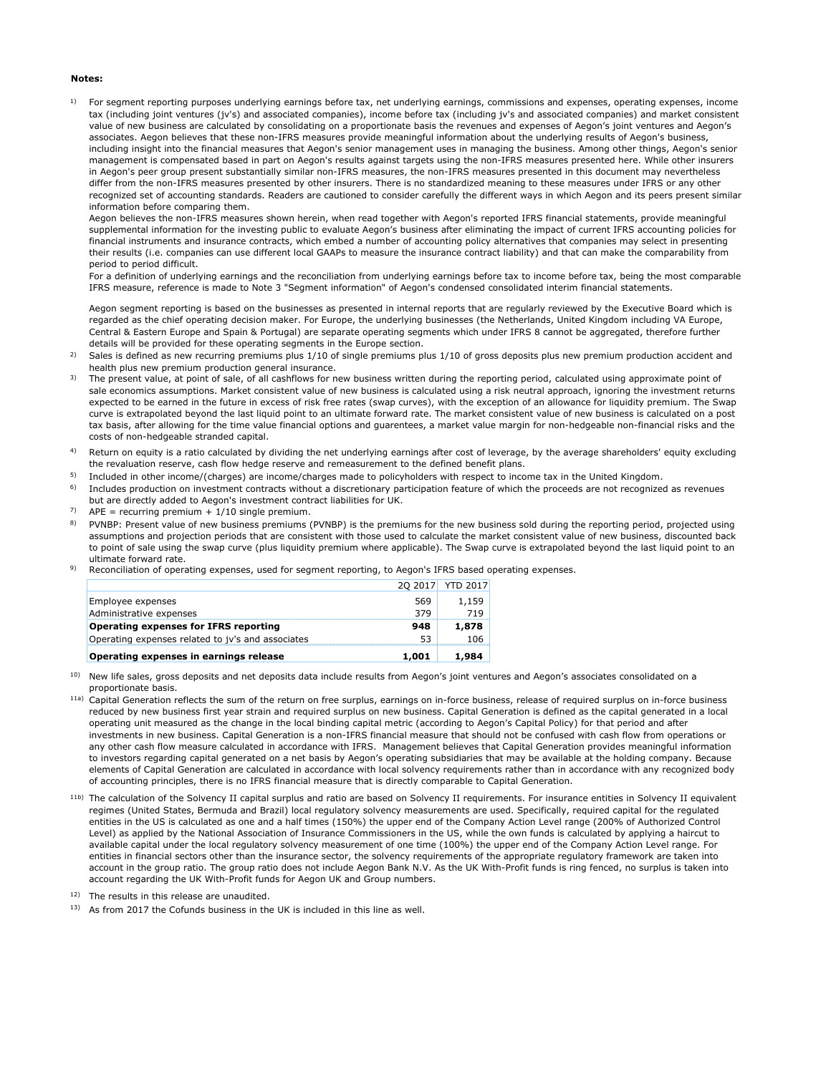#### **Notes:**

1) For segment reporting purposes underlying earnings before tax, net underlying earnings, commissions and expenses, operating expenses, income tax (including joint ventures (jv's) and associated companies), income before tax (including jv's and associated companies) and market consistent value of new business are calculated by consolidating on a proportionate basis the revenues and expenses of Aegon's joint ventures and Aegon's associates. Aegon believes that these non-IFRS measures provide meaningful information about the underlying results of Aegon's business, including insight into the financial measures that Aegon's senior management uses in managing the business. Among other things, Aegon's senior management is compensated based in part on Aegon's results against targets using the non-IFRS measures presented here. While other insurers in Aegon's peer group present substantially similar non-IFRS measures, the non-IFRS measures presented in this document may nevertheless differ from the non-IFRS measures presented by other insurers. There is no standardized meaning to these measures under IFRS or any other recognized set of accounting standards. Readers are cautioned to consider carefully the different ways in which Aegon and its peers present similar information before comparing them.

Aegon believes the non-IFRS measures shown herein, when read together with Aegon's reported IFRS financial statements, provide meaningful supplemental information for the investing public to evaluate Aegon's business after eliminating the impact of current IFRS accounting policies for financial instruments and insurance contracts, which embed a number of accounting policy alternatives that companies may select in presenting their results (i.e. companies can use different local GAAPs to measure the insurance contract liability) and that can make the comparability from period to period difficult.

For a definition of underlying earnings and the reconciliation from underlying earnings before tax to income before tax, being the most comparable IFRS measure, reference is made to Note 3 "Segment information" of Aegon's condensed consolidated interim financial statements.

Aegon segment reporting is based on the businesses as presented in internal reports that are regularly reviewed by the Executive Board which is regarded as the chief operating decision maker. For Europe, the underlying businesses (the Netherlands, United Kingdom including VA Europe, Central & Eastern Europe and Spain & Portugal) are separate operating segments which under IFRS 8 cannot be aggregated, therefore further details will be provided for these operating segments in the Europe section.

- 2) Sales is defined as new recurring premiums plus 1/10 of single premiums plus 1/10 of gross deposits plus new premium production accident and health plus new premium production general insurance.
- 3) The present value, at point of sale, of all cashflows for new business written during the reporting period, calculated using approximate point of sale economics assumptions. Market consistent value of new business is calculated using a risk neutral approach, ignoring the investment returns expected to be earned in the future in excess of risk free rates (swap curves), with the exception of an allowance for liquidity premium. The Swap curve is extrapolated beyond the last liquid point to an ultimate forward rate. The market consistent value of new business is calculated on a post tax basis, after allowing for the time value financial options and guarentees, a market value margin for non-hedgeable non-financial risks and the costs of non-hedgeable stranded capital.
- 4) Return on equity is a ratio calculated by dividing the net underlying earnings after cost of leverage, by the average shareholders' equity excluding the revaluation reserve, cash flow hedge reserve and remeasurement to the defined benefit plans.
- 5) Included in other income/(charges) are income/charges made to policyholders with respect to income tax in the United Kingdom.
- 6) Includes production on investment contracts without a discretionary participation feature of which the proceeds are not recognized as revenues but are directly added to Aegon's investment contract liabilities for UK.
- 7)  $APE = recurring premium + 1/10 single premium.$
- 8) PVNBP: Present value of new business premiums (PVNBP) is the premiums for the new business sold during the reporting period, projected using assumptions and projection periods that are consistent with those used to calculate the market consistent value of new business, discounted back to point of sale using the swap curve (plus liquidity premium where applicable). The Swap curve is extrapolated beyond the last liquid point to an ultimate forward rate.
- 9) Reconciliation of operating expenses, used for segment reporting, to Aegon's IFRS based operating expenses.

| Operating expenses in earnings release            | 1,001 | 1.984            |
|---------------------------------------------------|-------|------------------|
| Operating expenses related to jv's and associates | 53    | 106              |
| <b>Operating expenses for IFRS reporting</b>      | 948   | 1,878            |
| Administrative expenses                           | 379   | 719              |
| Employee expenses                                 | 569   | 1,159            |
|                                                   |       | 20 2017 YTD 2017 |

<sup>10)</sup> New life sales, gross deposits and net deposits data include results from Aegon's joint ventures and Aegon's associates consolidated on a proportionate basis.

- <sup>11a)</sup> Capital Generation reflects the sum of the return on free surplus, earnings on in-force business, release of required surplus on in-force business reduced by new business first year strain and required surplus on new business. Capital Generation is defined as the capital generated in a local operating unit measured as the change in the local binding capital metric (according to Aegon's Capital Policy) for that period and after investments in new business. Capital Generation is a non-IFRS financial measure that should not be confused with cash flow from operations or any other cash flow measure calculated in accordance with IFRS. Management believes that Capital Generation provides meaningful information to investors regarding capital generated on a net basis by Aegon's operating subsidiaries that may be available at the holding company. Because elements of Capital Generation are calculated in accordance with local solvency requirements rather than in accordance with any recognized body of accounting principles, there is no IFRS financial measure that is directly comparable to Capital Generation.
- <sup>11b)</sup> The calculation of the Solvency II capital surplus and ratio are based on Solvency II requirements. For insurance entities in Solvency II equivalent regimes (United States, Bermuda and Brazil) local regulatory solvency measurements are used. Specifically, required capital for the regulated entities in the US is calculated as one and a half times (150%) the upper end of the Company Action Level range (200% of Authorized Control Level) as applied by the National Association of Insurance Commissioners in the US, while the own funds is calculated by applying a haircut to available capital under the local regulatory solvency measurement of one time (100%) the upper end of the Company Action Level range. For entities in financial sectors other than the insurance sector, the solvency requirements of the appropriate regulatory framework are taken into account in the group ratio. The group ratio does not include Aegon Bank N.V. As the UK With-Profit funds is ring fenced, no surplus is taken into account regarding the UK With-Profit funds for Aegon UK and Group numbers.
- 12) The results in this release are unaudited.
- $13)$  As from 2017 the Cofunds business in the UK is included in this line as well.